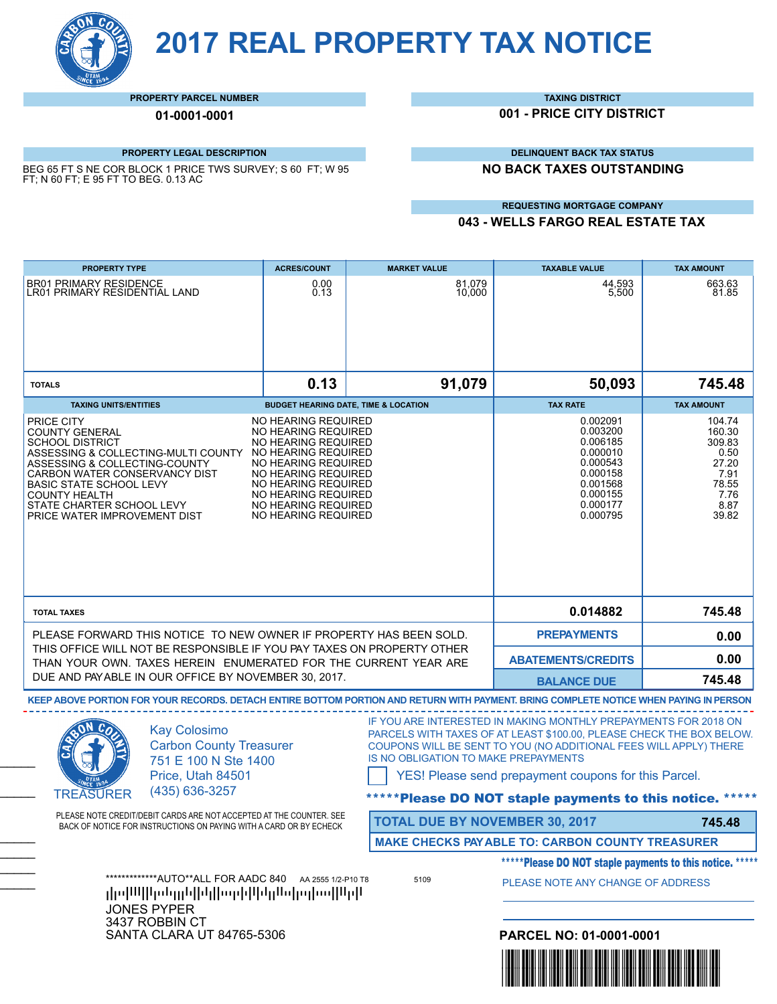**2017 REAL PROPERTY TAX NOTICE**

#### **PROPERTY PARCEL NUMBER**

**01-0001-0001**

#### **PROPERTY LEGAL DESCRIPTION**

BEG 65 FT S NE COR BLOCK 1 PRICE TWS SURVEY; S 60 FT; W 95 FT; N 60 FT; E 95 FT TO BEG. 0.13 AC

#### **TAXING DISTRICT**

**001 - PRICE CITY DISTRICT**

**DELINQUENT BACK TAX STATUS**

**NO BACK TAXES OUTSTANDING**

#### **REQUESTING MORTGAGE COMPANY**

**043 - WELLS FARGO REAL ESTATE TAX**

| <b>PROPERTY TYPE</b>                                                                                                                                                                                                                                                                          | <b>ACRES/COUNT</b>                                                                                                                                                                                                                 | <b>MARKET VALUE</b>                   | <b>TAXABLE VALUE</b>                                                                                                                                                                                                                                                                                                   | <b>TAX AMOUNT</b>                                                                     |
|-----------------------------------------------------------------------------------------------------------------------------------------------------------------------------------------------------------------------------------------------------------------------------------------------|------------------------------------------------------------------------------------------------------------------------------------------------------------------------------------------------------------------------------------|---------------------------------------|------------------------------------------------------------------------------------------------------------------------------------------------------------------------------------------------------------------------------------------------------------------------------------------------------------------------|---------------------------------------------------------------------------------------|
| <b>BR01 PRIMARY RESIDENCE</b><br>LR01 PRIMARY RESIDENTIAL LAND                                                                                                                                                                                                                                | 0.00<br>0.13                                                                                                                                                                                                                       | 81,079<br>10,000                      | 44,593<br>5,500                                                                                                                                                                                                                                                                                                        | 663.63<br>81.85                                                                       |
|                                                                                                                                                                                                                                                                                               |                                                                                                                                                                                                                                    |                                       |                                                                                                                                                                                                                                                                                                                        |                                                                                       |
| <b>TOTALS</b>                                                                                                                                                                                                                                                                                 | 0.13                                                                                                                                                                                                                               | 91,079                                | 50,093                                                                                                                                                                                                                                                                                                                 | 745.48                                                                                |
| <b>TAXING UNITS/ENTITIES</b>                                                                                                                                                                                                                                                                  | <b>BUDGET HEARING DATE, TIME &amp; LOCATION</b>                                                                                                                                                                                    |                                       | <b>TAX RATE</b>                                                                                                                                                                                                                                                                                                        | <b>TAX AMOUNT</b>                                                                     |
| PRICE CITY<br><b>COUNTY GENERAL</b><br><b>SCHOOL DISTRICT</b><br>ASSESSING & COLLECTING-MULTI COUNTY<br>ASSESSING & COLLECTING-COUNTY<br>CARBON WATER CONSERVANCY DIST<br><b>BASIC STATE SCHOOL LEVY</b><br><b>COUNTY HEALTH</b><br>STATE CHARTER SCHOOL LEVY<br>PRICE WATER IMPROVEMENT DIST | NO HEARING REQUIRED<br>NO HEARING REQUIRED<br>NO HEARING REQUIRED<br>NO HEARING REQUIRED<br>NO HEARING REQUIRED<br>NO HEARING REQUIRED<br>NO HEARING REQUIRED<br>NO HEARING REQUIRED<br>NO HEARING REQUIRED<br>NO HEARING REQUIRED |                                       | 0.002091<br>0.003200<br>0.006185<br>0.000010<br>0.000543<br>0.000158<br>0.001568<br>0.000155<br>0.000177<br>0.000795                                                                                                                                                                                                   | 104.74<br>160.30<br>309.83<br>0.50<br>27.20<br>7.91<br>78.55<br>7.76<br>8.87<br>39.82 |
| <b>TOTAL TAXES</b>                                                                                                                                                                                                                                                                            |                                                                                                                                                                                                                                    |                                       | 0.014882                                                                                                                                                                                                                                                                                                               | 745.48                                                                                |
| PLEASE FORWARD THIS NOTICE TO NEW OWNER IF PROPERTY HAS BEEN SOLD.                                                                                                                                                                                                                            |                                                                                                                                                                                                                                    |                                       | <b>PREPAYMENTS</b>                                                                                                                                                                                                                                                                                                     | 0.00                                                                                  |
| THIS OFFICE WILL NOT BE RESPONSIBLE IF YOU PAY TAXES ON PROPERTY OTHER<br>THAN YOUR OWN. TAXES HEREIN ENUMERATED FOR THE CURRENT YEAR ARE                                                                                                                                                     |                                                                                                                                                                                                                                    | <b>ABATEMENTS/CREDITS</b>             | 0.00                                                                                                                                                                                                                                                                                                                   |                                                                                       |
| DUE AND PAYABLE IN OUR OFFICE BY NOVEMBER 30, 2017.                                                                                                                                                                                                                                           |                                                                                                                                                                                                                                    |                                       | <b>BALANCE DUE</b>                                                                                                                                                                                                                                                                                                     | 745.48                                                                                |
| KEEP ABOVE PORTION FOR YOUR RECORDS. DETACH ENTIRE BOTTOM PORTION AND RETURN WITH PAYMENT. BRING COMPLETE NOTICE WHEN PAYING IN PERSON                                                                                                                                                        |                                                                                                                                                                                                                                    |                                       |                                                                                                                                                                                                                                                                                                                        |                                                                                       |
| <b>Kay Colosimo</b><br><b>Carbon County Treasurer</b><br>751 E 100 N Ste 1400<br>Price, Utah 84501<br>(435) 636-3257<br><b>TREASURER</b>                                                                                                                                                      |                                                                                                                                                                                                                                    | IS NO OBLIGATION TO MAKE PREPAYMENTS  | IF YOU ARE INTERESTED IN MAKING MONTHLY PREPAYMENTS FOR 2018 ON<br>PARCELS WITH TAXES OF AT LEAST \$100.00, PLEASE CHECK THE BOX BELOW.<br>COUPONS WILL BE SENT TO YOU (NO ADDITIONAL FEES WILL APPLY) THERE<br>YES! Please send prepayment coupons for this Parcel.<br>*Please DO NOT staple payments to this notice. |                                                                                       |
| PLEASE NOTE CREDIT/DEBIT CARDS ARE NOT ACCEPTED AT THE COUNTER. SEE<br>BACK OF NOTICE FOR INSTRUCTIONS ON PAYING WITH A CARD OR BY ECHECK                                                                                                                                                     |                                                                                                                                                                                                                                    | <b>TOTAL DUE BY NOVEMBER 30, 2017</b> |                                                                                                                                                                                                                                                                                                                        | 745.48                                                                                |
|                                                                                                                                                                                                                                                                                               |                                                                                                                                                                                                                                    |                                       | <b>MAKE CHECKS PAY ABLE TO: CARBON COUNTY TREASURER</b>                                                                                                                                                                                                                                                                |                                                                                       |
|                                                                                                                                                                                                                                                                                               |                                                                                                                                                                                                                                    |                                       | *****Please DO NOT staple payments to this notice. *****                                                                                                                                                                                                                                                               |                                                                                       |
| *************AUTO**ALL FOR AADC 840 AA 2555 1/2-P10 T8<br>իր ինքի տեղրեկներ գործերի կրավար կարո<br><b>JONES PYPER</b>                                                                                                                                                                         |                                                                                                                                                                                                                                    | 5109                                  | PLEASE NOTE ANY CHANGE OF ADDRESS                                                                                                                                                                                                                                                                                      |                                                                                       |
|                                                                                                                                                                                                                                                                                               |                                                                                                                                                                                                                                    |                                       |                                                                                                                                                                                                                                                                                                                        |                                                                                       |
| 3437 ROBBIN CT<br><b>SANTA CLARA UT 84765-5306</b>                                                                                                                                                                                                                                            |                                                                                                                                                                                                                                    |                                       | PARCEL NO: 01-0001-0001                                                                                                                                                                                                                                                                                                |                                                                                       |
|                                                                                                                                                                                                                                                                                               |                                                                                                                                                                                                                                    |                                       | <u> Haraja</u>                                                                                                                                                                                                                                                                                                         |                                                                                       |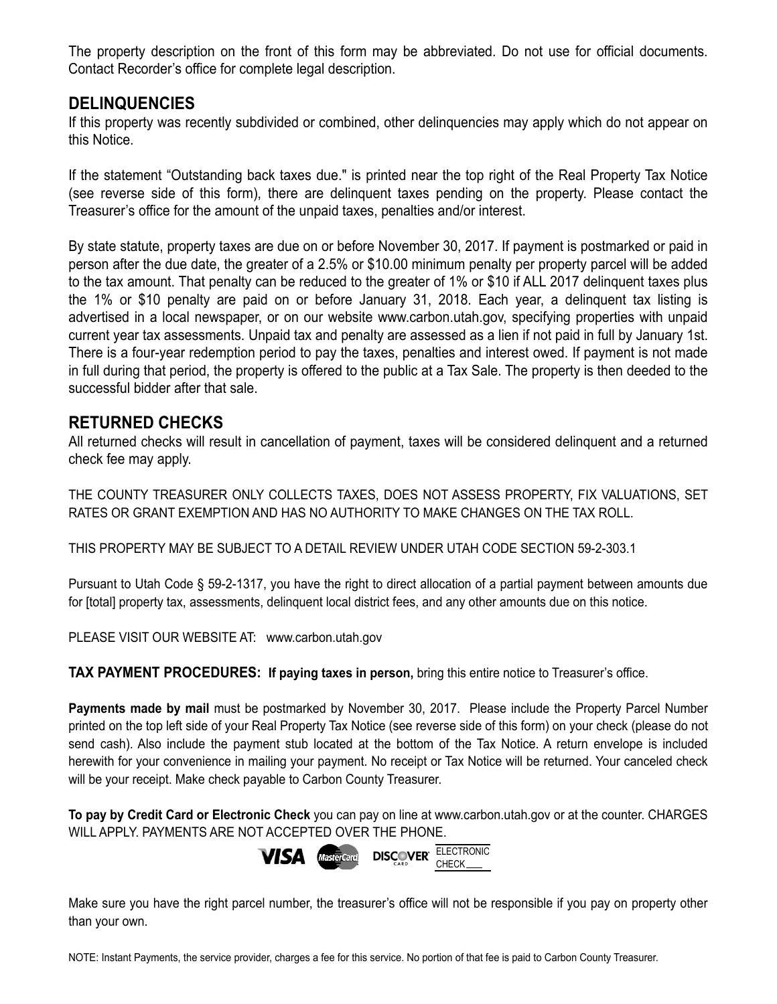The property description on the front of this form may be abbreviated. Do not use for official documents. Contact Recorder's office for complete legal description.

## **DELINQUENCIES**

If this property was recently subdivided or combined, other delinquencies may apply which do not appear on this Notice.

If the statement "Outstanding back taxes due." is printed near the top right of the Real Property Tax Notice (see reverse side of this form), there are delinquent taxes pending on the property. Please contact the Treasurer's office for the amount of the unpaid taxes, penalties and/or interest.

By state statute, property taxes are due on or before November 30, 2017. If payment is postmarked or paid in person after the due date, the greater of a 2.5% or \$10.00 minimum penalty per property parcel will be added to the tax amount. That penalty can be reduced to the greater of 1% or \$10 if ALL 2017 delinquent taxes plus the 1% or \$10 penalty are paid on or before January 31, 2018. Each year, a delinquent tax listing is advertised in a local newspaper, or on our website www.carbon.utah.gov, specifying properties with unpaid current year tax assessments. Unpaid tax and penalty are assessed as a lien if not paid in full by January 1st. There is a four-year redemption period to pay the taxes, penalties and interest owed. If payment is not made in full during that period, the property is offered to the public at a Tax Sale. The property is then deeded to the successful bidder after that sale.

## **RETURNED CHECKS**

All returned checks will result in cancellation of payment, taxes will be considered delinquent and a returned check fee may apply.

THE COUNTY TREASURER ONLY COLLECTS TAXES, DOES NOT ASSESS PROPERTY, FIX VALUATIONS, SET RATES OR GRANT EXEMPTION AND HAS NO AUTHORITY TO MAKE CHANGES ON THE TAX ROLL.

THIS PROPERTY MAY BE SUBJECT TO A DETAIL REVIEW UNDER UTAH CODE SECTION 59-2-303.1

Pursuant to Utah Code § 59-2-1317, you have the right to direct allocation of a partial payment between amounts due for [total] property tax, assessments, delinquent local district fees, and any other amounts due on this notice.

PLEASE VISIT OUR WEBSITE AT: www.carbon.utah.gov

**TAX PAYMENT PROCEDURES: If paying taxes in person,** bring this entire notice to Treasurer's office.

**Payments made by mail** must be postmarked by November 30, 2017. Please include the Property Parcel Number printed on the top left side of your Real Property Tax Notice (see reverse side of this form) on your check (please do not send cash). Also include the payment stub located at the bottom of the Tax Notice. A return envelope is included herewith for your convenience in mailing your payment. No receipt or Tax Notice will be returned. Your canceled check will be your receipt. Make check payable to Carbon County Treasurer.

**To pay by Credit Card or Electronic Check** you can pay on line at www.carbon.utah.gov or at the counter. CHARGES WILL APPLY. PAYMENTS ARE NOT ACCEPTED OVER THE PHONE.



Make sure you have the right parcel number, the treasurer's office will not be responsible if you pay on property other than your own.

NOTE: Instant Payments, the service provider, charges a fee for this service. No portion of that fee is paid to Carbon County Treasurer.